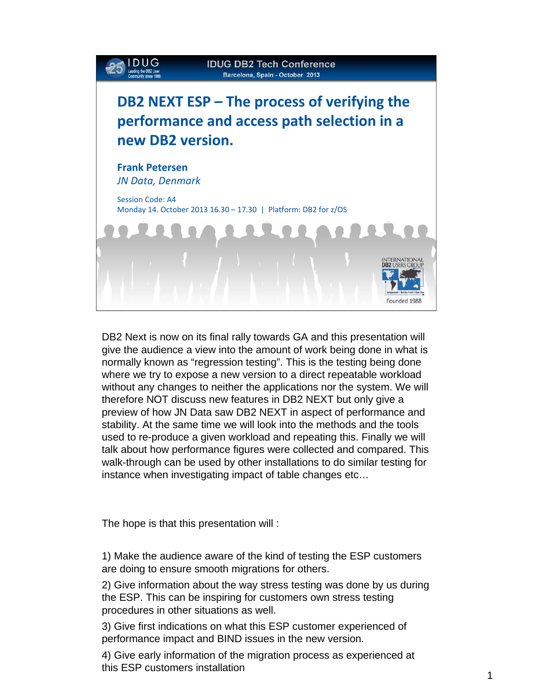

DB2 Next is now on its final rally towards GA and this presentation will give the audience a view into the amount of work being done in what is normally known as "regression testing". This is the testing being done where we try to expose a new version to a direct repeatable workload without any changes to neither the applications nor the system. We will therefore NOT discuss new features in DB2 NEXT but only give a preview of how JN Data saw DB2 NEXT in aspect of performance and stability. At the same time we will look into the methods and the tools used to re-produce a given workload and repeating this. Finally we will talk about how performance figures were collected and compared. This walk-through can be used by other installations to do similar testing for instance when investigating impact of table changes etc…

The hope is that this presentation will :

1) Make the audience aware of the kind of testing the ESP customers are doing to ensure smooth migrations for others.

2) Give information about the way stress testing was done by us during the ESP. This can be inspiring for customers own stress testing procedures in other situations as well.

3) Give first indications on what this ESP customer experienced of performance impact and BIND issues in the new version.

4) Give early information of the migration process as experienced at this ESP customers installation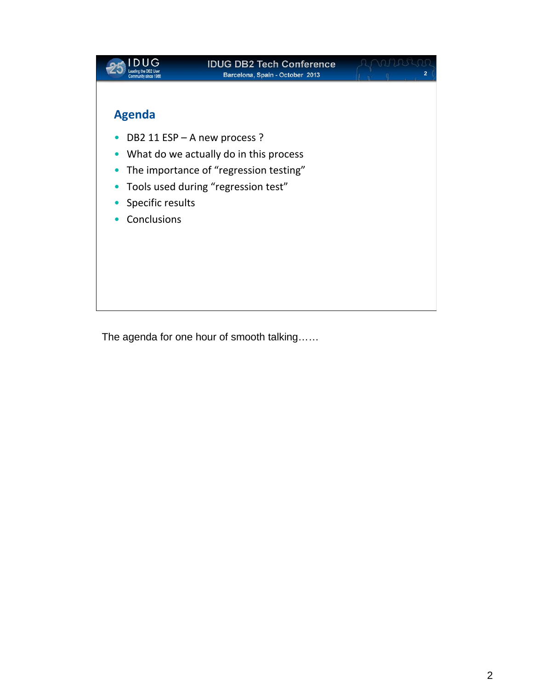

### **Agenda**

- DB2 11 ESP A new process ?
- What do we actually do in this process
- The importance of "regression testing"
- Tools used during "regression test"
- Specific results
- Conclusions

The agenda for one hour of smooth talking……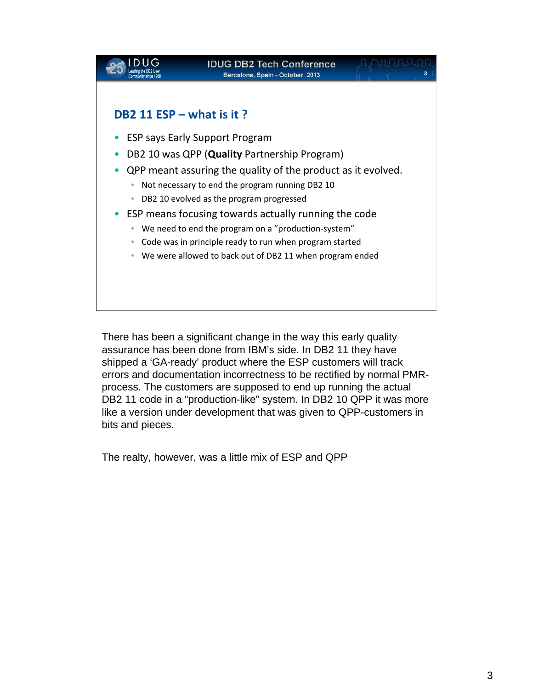

### **DB2 11 ESP – what is it ?**

- ESP says Early Support Program
- DB2 10 was QPP (**Quality** Partnership Program)
- QPP meant assuring the quality of the product as it evolved.
	- Not necessary to end the program running DB2 10
	- DB2 10 evolved as the program progressed
- ESP means focusing towards actually running the code
	- We need to end the program on a "production‐system"
	- Code was in principle ready to run when program started
	- We were allowed to back out of DB2 11 when program ended

There has been a significant change in the way this early quality assurance has been done from IBM's side. In DB2 11 they have shipped a 'GA-ready' product where the ESP customers will track errors and documentation incorrectness to be rectified by normal PMRprocess. The customers are supposed to end up running the actual DB2 11 code in a "production-like" system. In DB2 10 QPP it was more like a version under development that was given to QPP-customers in bits and pieces.

The realty, however, was a little mix of ESP and QPP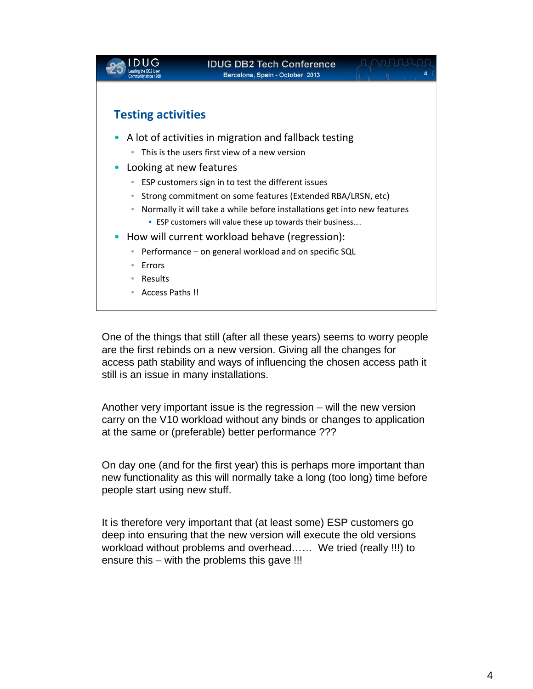

### **Testing activities**

- A lot of activities in migration and fallback testing
	- This is the users first view of a new version
- Looking at new features
	- ESP customers sign in to test the different issues
	- Strong commitment on some features (Extended RBA/LRSN, etc)
	- Normally it will take a while before installations get into new features
		- ESP customers will value these up towards their business….
- How will current workload behave (regression):
	- Performance on general workload and on specific SQL
	- Errors
	- Results
	- Access Paths !!

One of the things that still (after all these years) seems to worry people are the first rebinds on a new version. Giving all the changes for access path stability and ways of influencing the chosen access path it still is an issue in many installations.

Another very important issue is the regression – will the new version carry on the V10 workload without any binds or changes to application at the same or (preferable) better performance ???

On day one (and for the first year) this is perhaps more important than new functionality as this will normally take a long (too long) time before people start using new stuff.

It is therefore very important that (at least some) ESP customers go deep into ensuring that the new version will execute the old versions workload without problems and overhead…… We tried (really !!!) to ensure this – with the problems this gave !!!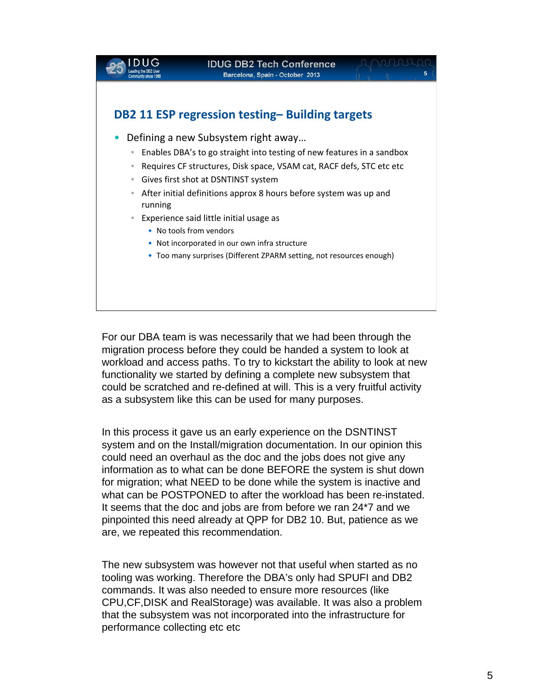

**5**

### **DB2 11 ESP regression testing– Building targets**

- Defining a new Subsystem right away...
	- Enables DBA's to go straight into testing of new features in a sandbox
	- Requires CF structures, Disk space, VSAM cat, RACF defs, STC etc etc
	- Gives first shot at DSNTINST system
	- After initial definitions approx 8 hours before system was up and running
	- Experience said little initial usage as
		- No tools from vendors
		- Not incorporated in our own infra structure
		- Too many surprises (Different ZPARM setting, not resources enough)

For our DBA team is was necessarily that we had been through the migration process before they could be handed a system to look at workload and access paths. To try to kickstart the ability to look at new functionality we started by defining a complete new subsystem that could be scratched and re-defined at will. This is a very fruitful activity as a subsystem like this can be used for many purposes.

In this process it gave us an early experience on the DSNTINST system and on the Install/migration documentation. In our opinion this could need an overhaul as the doc and the jobs does not give any information as to what can be done BEFORE the system is shut down for migration; what NEED to be done while the system is inactive and what can be POSTPONED to after the workload has been re-instated. It seems that the doc and jobs are from before we ran 24\*7 and we pinpointed this need already at QPP for DB2 10. But, patience as we are, we repeated this recommendation.

The new subsystem was however not that useful when started as no tooling was working. Therefore the DBA's only had SPUFI and DB2 commands. It was also needed to ensure more resources (like CPU,CF,DISK and RealStorage) was available. It was also a problem that the subsystem was not incorporated into the infrastructure for performance collecting etc etc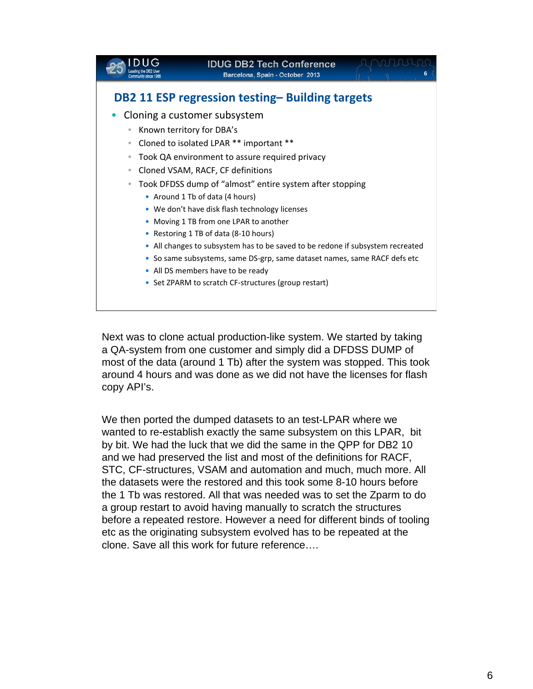

Next was to clone actual production-like system. We started by taking a QA-system from one customer and simply did a DFDSS DUMP of most of the data (around 1 Tb) after the system was stopped. This took around 4 hours and was done as we did not have the licenses for flash copy API's.

We then ported the dumped datasets to an test-LPAR where we wanted to re-establish exactly the same subsystem on this LPAR, bit by bit. We had the luck that we did the same in the QPP for DB2 10 and we had preserved the list and most of the definitions for RACF, STC, CF-structures, VSAM and automation and much, much more. All the datasets were the restored and this took some 8-10 hours before the 1 Tb was restored. All that was needed was to set the Zparm to do a group restart to avoid having manually to scratch the structures before a repeated restore. However a need for different binds of tooling etc as the originating subsystem evolved has to be repeated at the clone. Save all this work for future reference….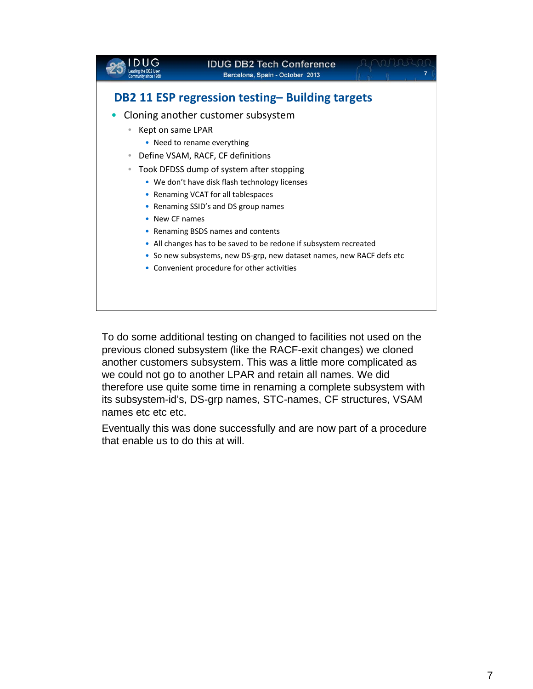

To do some additional testing on changed to facilities not used on the previous cloned subsystem (like the RACF-exit changes) we cloned another customers subsystem. This was a little more complicated as we could not go to another LPAR and retain all names. We did therefore use quite some time in renaming a complete subsystem with its subsystem-id's, DS-grp names, STC-names, CF structures, VSAM names etc etc etc.

Eventually this was done successfully and are now part of a procedure that enable us to do this at will.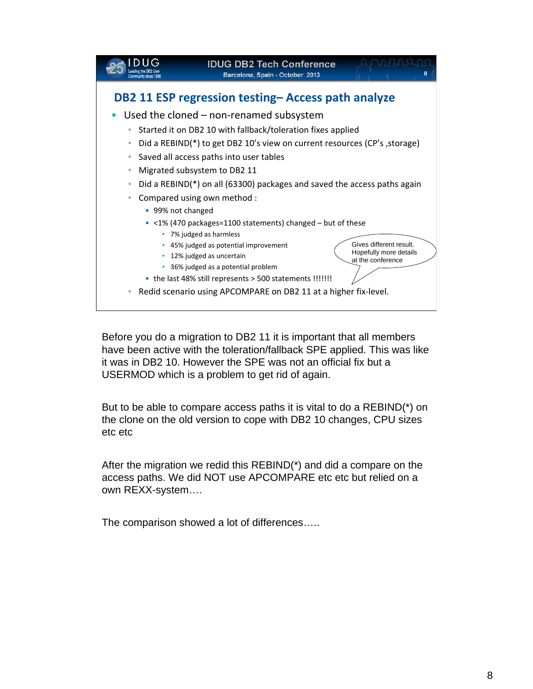

Before you do a migration to DB2 11 it is important that all members have been active with the toleration/fallback SPE applied. This was like it was in DB2 10. However the SPE was not an official fix but a USERMOD which is a problem to get rid of again.

But to be able to compare access paths it is vital to do a REBIND(\*) on the clone on the old version to cope with DB2 10 changes, CPU sizes etc etc

After the migration we redid this REBIND(\*) and did a compare on the access paths. We did NOT use APCOMPARE etc etc but relied on a own REXX-system….

The comparison showed a lot of differences…..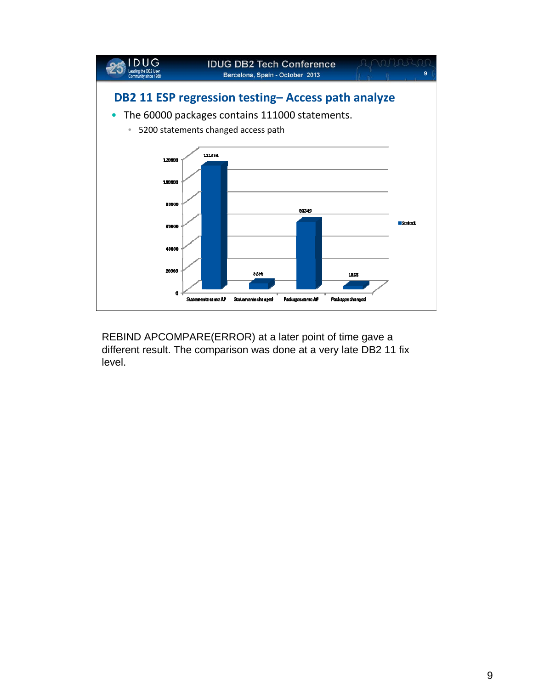

REBIND APCOMPARE(ERROR) at a later point of time gave a different result. The comparison was done at a very late DB2 11 fix level.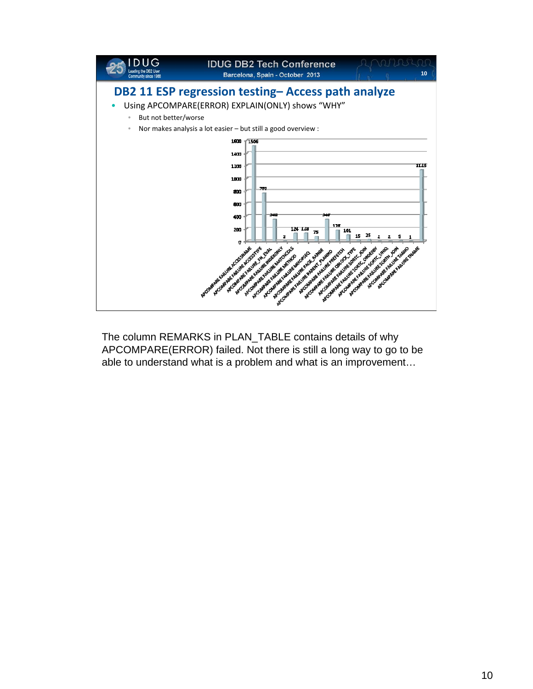

The column REMARKS in PLAN\_TABLE contains details of why APCOMPARE(ERROR) failed. Not there is still a long way to go to be able to understand what is a problem and what is an improvement…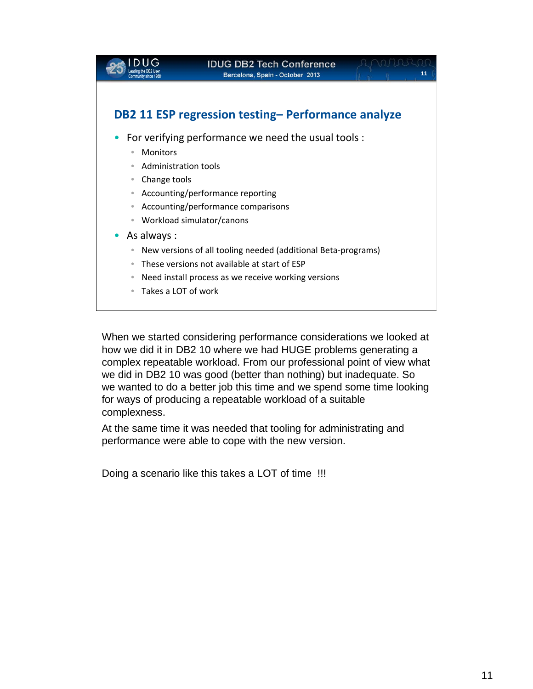

```
11
```
### **DB2 11 ESP regression testing– Performance analyze**

- For verifying performance we need the usual tools :
	- Monitors
	- Administration tools
	- Change tools
	- Accounting/performance reporting
	- Accounting/performance comparisons
	- Workload simulator/canons
- As always :
	- New versions of all tooling needed (additional Beta‐programs)
	- These versions not available at start of ESP
	- Need install process as we receive working versions
	- Takes a LOT of work

When we started considering performance considerations we looked at how we did it in DB2 10 where we had HUGE problems generating a complex repeatable workload. From our professional point of view what we did in DB2 10 was good (better than nothing) but inadequate. So we wanted to do a better job this time and we spend some time looking for ways of producing a repeatable workload of a suitable complexness.

At the same time it was needed that tooling for administrating and performance were able to cope with the new version.

Doing a scenario like this takes a LOT of time !!!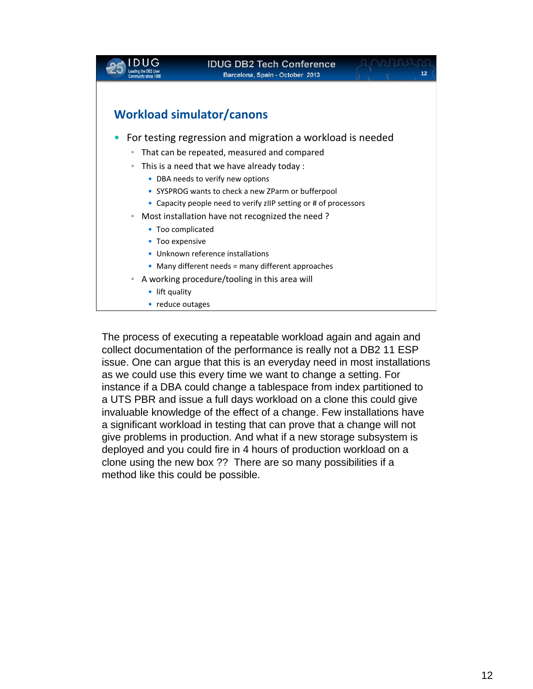

### **Workload simulator/canons**

- For testing regression and migration a workload is needed
	- That can be repeated, measured and compared
	- This is a need that we have already today :
		- DBA needs to verify new options
		- SYSPROG wants to check a new ZParm or bufferpool
		- Capacity people need to verify zIIP setting or # of processors
	- Most installation have not recognized the need ?
		- Too complicated
		- Too expensive
		- Unknown reference installations
		- Many different needs = many different approaches
	- A working procedure/tooling in this area will
		- lift quality
		- reduce outages

The process of executing a repeatable workload again and again and collect documentation of the performance is really not a DB2 11 ESP issue. One can argue that this is an everyday need in most installations as we could use this every time we want to change a setting. For instance if a DBA could change a tablespace from index partitioned to a UTS PBR and issue a full days workload on a clone this could give invaluable knowledge of the effect of a change. Few installations have a significant workload in testing that can prove that a change will not give problems in production. And what if a new storage subsystem is deployed and you could fire in 4 hours of production workload on a clone using the new box ?? There are so many possibilities if a method like this could be possible.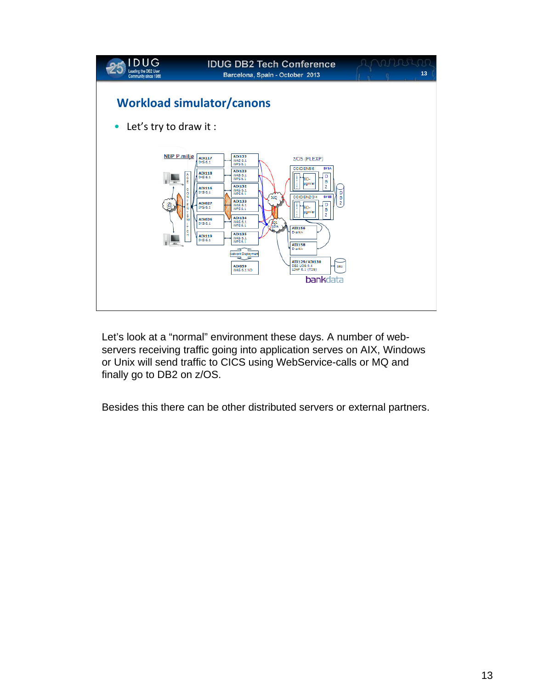

Let's look at a "normal" environment these days. A number of webservers receiving traffic going into application serves on AIX, Windows or Unix will send traffic to CICS using WebService-calls or MQ and finally go to DB2 on z/OS.

Besides this there can be other distributed servers or external partners.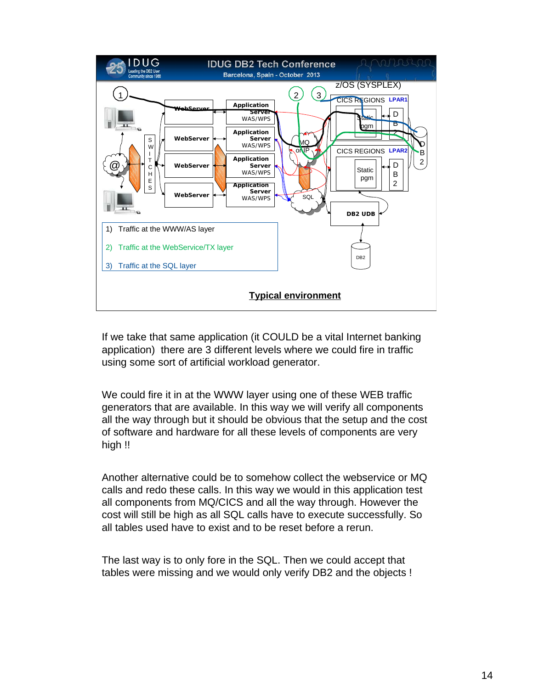

If we take that same application (it COULD be a vital Internet banking application) there are 3 different levels where we could fire in traffic using some sort of artificial workload generator.

We could fire it in at the WWW layer using one of these WEB traffic generators that are available. In this way we will verify all components all the way through but it should be obvious that the setup and the cost of software and hardware for all these levels of components are very high !!

Another alternative could be to somehow collect the webservice or MQ calls and redo these calls. In this way we would in this application test all components from MQ/CICS and all the way through. However the cost will still be high as all SQL calls have to execute successfully. So all tables used have to exist and to be reset before a rerun.

The last way is to only fore in the SQL. Then we could accept that tables were missing and we would only verify DB2 and the objects !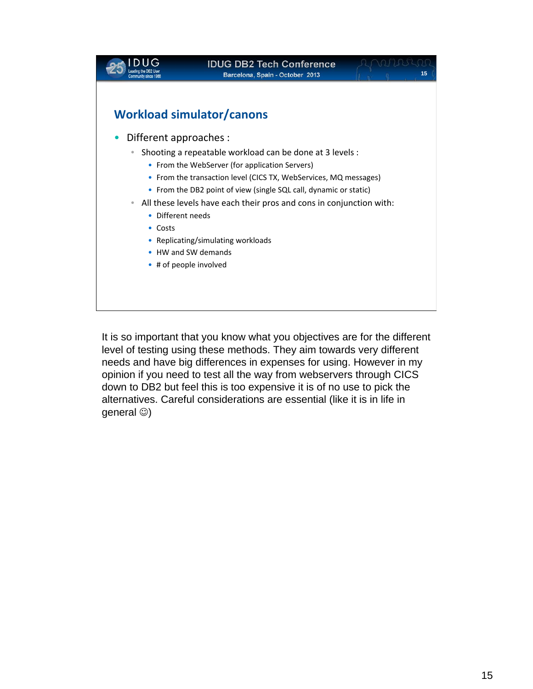# **15**

### **Workload simulator/canons**

- Different approaches :
	- Shooting a repeatable workload can be done at 3 levels :
		- From the WebServer (for application Servers)
		- From the transaction level (CICS TX, WebServices, MQ messages)
		- From the DB2 point of view (single SQL call, dynamic or static)
	- All these levels have each their pros and cons in conjunction with:
		- Different needs
		- Costs
		- Replicating/simulating workloads
		- HW and SW demands
		- # of people involved

It is so important that you know what you objectives are for the different level of testing using these methods. They aim towards very different needs and have big differences in expenses for using. However in my opinion if you need to test all the way from webservers through CICS down to DB2 but feel this is too expensive it is of no use to pick the alternatives. Careful considerations are essential (like it is in life in general  $\circledcirc$ )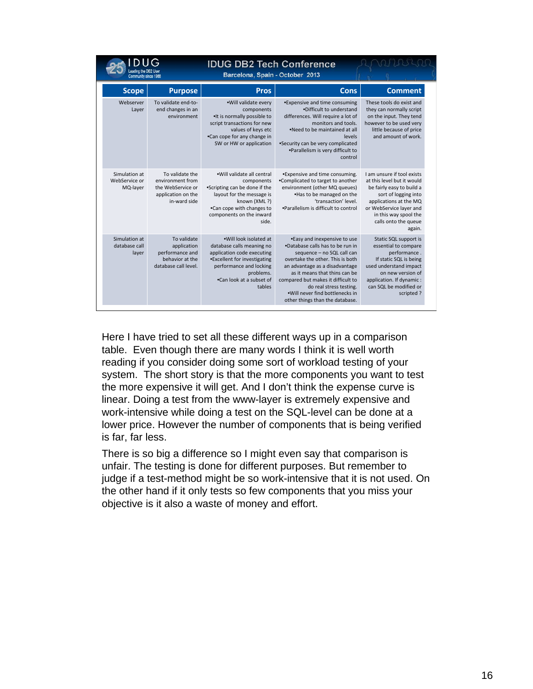| G<br>eading the DB2 User<br>Community since 1988 |                                            |                                                                                                | <b>IDUG DB2 Tech Conference</b><br>Barcelona, Spain - October 2013                                                                                                                              |                                                                                                                                                                                                                                                                                                                                              |                                                                                                                                                                                                                              |  |
|--------------------------------------------------|--------------------------------------------|------------------------------------------------------------------------------------------------|-------------------------------------------------------------------------------------------------------------------------------------------------------------------------------------------------|----------------------------------------------------------------------------------------------------------------------------------------------------------------------------------------------------------------------------------------------------------------------------------------------------------------------------------------------|------------------------------------------------------------------------------------------------------------------------------------------------------------------------------------------------------------------------------|--|
|                                                  | <b>Scope</b>                               | <b>Purpose</b>                                                                                 | <b>Pros</b>                                                                                                                                                                                     | Cons                                                                                                                                                                                                                                                                                                                                         | <b>Comment</b>                                                                                                                                                                                                               |  |
|                                                  | Webserver<br>Layer                         | To validate end-to-<br>end changes in an<br>environment                                        | .Will validate every<br>components<br>. It is normally possible to<br>script transactions for new<br>values of keys etc<br>•Can cope for any change in<br>SW or HW or application               | •Expensive and time consuming<br>.Difficult to understand<br>differences. Will require a lot of<br>monitors and tools.<br>.Need to be maintained at all<br>levels<br>•Security can be very complicated<br>.Parallelism is very difficult to<br>control                                                                                       | These tools do exist and<br>they can normally script<br>on the input. They tend<br>however to be used very<br>little because of price<br>and amount of work.                                                                 |  |
|                                                  | Simulation at<br>WebService or<br>MQ-layer | To validate the<br>environment from<br>the WebService or<br>application on the<br>in-ward side | .Will validate all central<br>components<br>*Scripting can be done if the<br>layout for the message is<br>known (XML?)<br>.Can cope with changes to<br>components on the inward<br>side.        | •Expensive and time consuming.<br>.Complicated to target to another<br>environment (other MQ queues)<br>.Has to be managed on the<br>'transaction' level.<br>.Parallelism is difficult to control                                                                                                                                            | Lam unsure if tool exists<br>at this level but it would<br>be fairly easy to build a<br>sort of logging into<br>applications at the MQ<br>or WebService layer and<br>in this way spool the<br>calls onto the queue<br>again. |  |
|                                                  | Simulation at<br>database call<br>layer    | To validate<br>application<br>performance and<br>behavior at the<br>database call level.       | .Will look isolated at<br>database calls meaning no<br>application code executing<br>•Excellent for investigating<br>performance and locking<br>problems.<br>.Can look at a subset of<br>tables | .Easy and inexpensive to use<br>.Database calls has to be run in<br>sequence - no SQL call can<br>overtake the other. This is both<br>an advantage as a disadvantage<br>as it means that thins can be<br>compared but makes it difficult to<br>do real stress testing.<br>.Will never find bottlenecks in<br>other things than the database. | Static SQL support is<br>essential to compare<br>performance.<br>If static SQL is being<br>used understand impact<br>on new version of<br>application. If dynamic :<br>can SQL be modified or<br>scripted ?                  |  |

Here I have tried to set all these different ways up in a comparison table. Even though there are many words I think it is well worth reading if you consider doing some sort of workload testing of your system. The short story is that the more components you want to test the more expensive it will get. And I don't think the expense curve is linear. Doing a test from the www-layer is extremely expensive and work-intensive while doing a test on the SQL-level can be done at a lower price. However the number of components that is being verified is far, far less.

There is so big a difference so I might even say that comparison is unfair. The testing is done for different purposes. But remember to judge if a test-method might be so work-intensive that it is not used. On the other hand if it only tests so few components that you miss your objective is it also a waste of money and effort.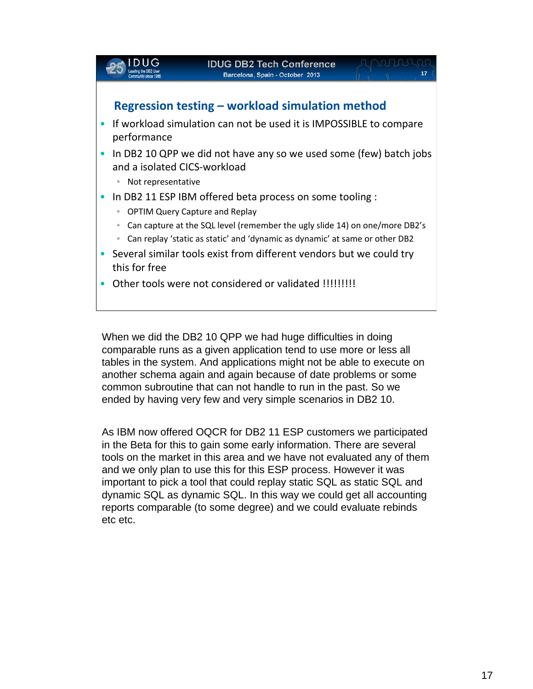```
17
```
### **Regression testing – workload simulation method**

- If workload simulation can not be used it is IMPOSSIBLE to compare performance
- In DB2 10 QPP we did not have any so we used some (few) batch jobs and a isolated CICS‐workload
	- Not representative
- In DB2 11 ESP IBM offered beta process on some tooling :
	- OPTIM Query Capture and Replay
	- Can capture at the SQL level (remember the ugly slide 14) on one/more DB2's
	- Can replay 'static as static' and 'dynamic as dynamic' at same or other DB2
- Several similar tools exist from different vendors but we could try this for free
- Other tools were not considered or validated !!!!!!!!!!!

When we did the DB2 10 QPP we had huge difficulties in doing comparable runs as a given application tend to use more or less all tables in the system. And applications might not be able to execute on another schema again and again because of date problems or some common subroutine that can not handle to run in the past. So we ended by having very few and very simple scenarios in DB2 10.

As IBM now offered OQCR for DB2 11 ESP customers we participated in the Beta for this to gain some early information. There are several tools on the market in this area and we have not evaluated any of them and we only plan to use this for this ESP process. However it was important to pick a tool that could replay static SQL as static SQL and dynamic SQL as dynamic SQL. In this way we could get all accounting reports comparable (to some degree) and we could evaluate rebinds etc etc.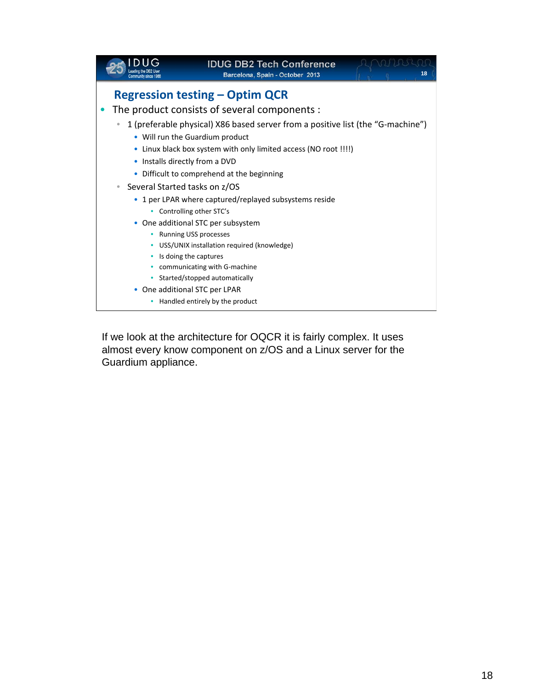



### **Regression testing – Optim QCR**

- The product consists of several components :
	- 1 (preferable physical) X86 based server from a positive list (the "G‐machine")
		- Will run the Guardium product
		- Linux black box system with only limited access (NO root !!!!)
		- Installs directly from a DVD
		- Difficult to comprehend at the beginning
	- Several Started tasks on z/OS
		- 1 per LPAR where captured/replayed subsystems reside • Controlling other STC's
		- One additional STC per subsystem
			- Running USS processes
			- USS/UNIX installation required (knowledge)
			- Is doing the captures
			- communicating with G-machine
			- Started/stopped automatically
		- One additional STC per LPAR
			- Handled entirely by the product

If we look at the architecture for OQCR it is fairly complex. It uses almost every know component on z/OS and a Linux server for the Guardium appliance.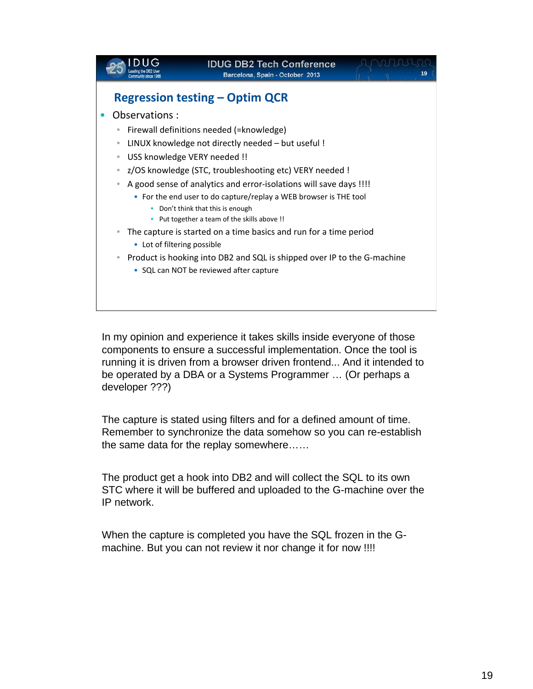

### **Regression testing – Optim QCR**

- Observations :
	- Firewall definitions needed (=knowledge)
	- LINUX knowledge not directly needed but useful !
	- USS knowledge VERY needed !!
	- z/OS knowledge (STC, troubleshooting etc) VERY needed !
	- A good sense of analytics and error-isolations will save days !!!!
		- For the end user to do capture/replay a WEB browser is THE tool
			- Don't think that this is enough
			- Put together a team of the skills above !!
	- The capture is started on a time basics and run for a time period
		- Lot of filtering possible
	- Product is hooking into DB2 and SQL is shipped over IP to the G-machine
		- SQL can NOT be reviewed after capture

In my opinion and experience it takes skills inside everyone of those components to ensure a successful implementation. Once the tool is running it is driven from a browser driven frontend... And it intended to be operated by a DBA or a Systems Programmer … (Or perhaps a developer ???)

The capture is stated using filters and for a defined amount of time. Remember to synchronize the data somehow so you can re-establish the same data for the replay somewhere……

The product get a hook into DB2 and will collect the SQL to its own STC where it will be buffered and uploaded to the G-machine over the IP network.

When the capture is completed you have the SQL frozen in the Gmachine. But you can not review it nor change it for now !!!!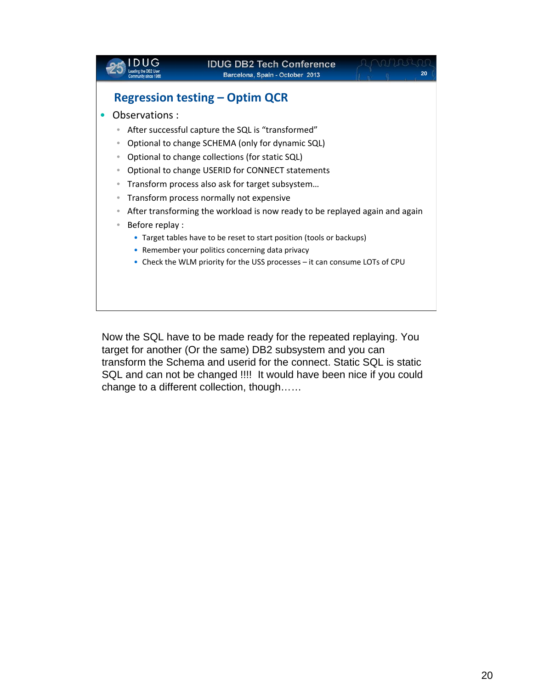

### **Regression testing – Optim QCR**

- Observations :
	- After successful capture the SQL is "transformed"
	- Optional to change SCHEMA (only for dynamic SQL)
	- Optional to change collections (for static SQL)
	- Optional to change USERID for CONNECT statements
	- Transform process also ask for target subsystem…
	- Transform process normally not expensive
	- After transforming the workload is now ready to be replayed again and again
	- Before replay :
		- Target tables have to be reset to start position (tools or backups)
		- Remember your politics concerning data privacy
		- Check the WLM priority for the USS processes it can consume LOTs of CPU

Now the SQL have to be made ready for the repeated replaying. You target for another (Or the same) DB2 subsystem and you can transform the Schema and userid for the connect. Static SQL is static SQL and can not be changed !!!! It would have been nice if you could change to a different collection, though……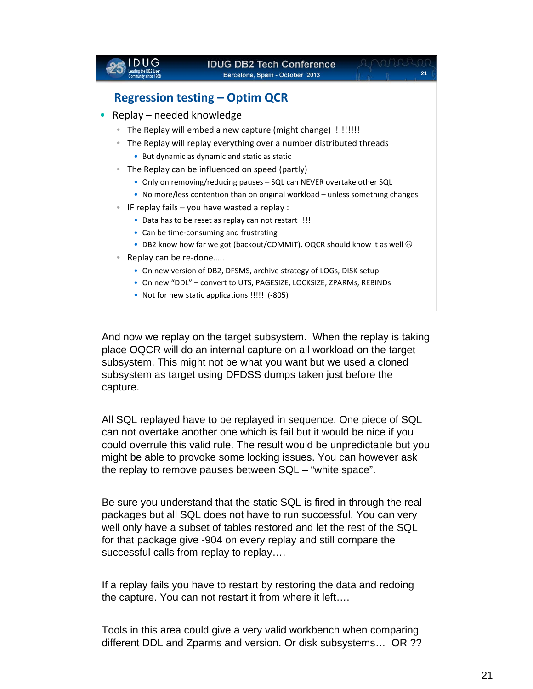## **21**

### **Regression testing – Optim QCR**

• Replay – needed knowledge

IDUG

- The Replay will embed a new capture (might change) !!!!!!!!
- The Replay will replay everything over a number distributed threads
	- But dynamic as dynamic and static as static
- The Replay can be influenced on speed (partly)
	- Only on removing/reducing pauses SQL can NEVER overtake other SQL
	- No more/less contention than on original workload unless something changes
- IF replay fails you have wasted a replay :
	- Data has to be reset as replay can not restart !!!!
	- Can be time‐consuming and frustrating
	- DB2 know how far we got (backout/COMMIT). OQCR should know it as well  $\odot$
- Replay can be re‐done…..
	- On new version of DB2, DFSMS, archive strategy of LOGs, DISK setup
	- On new "DDL" convert to UTS, PAGESIZE, LOCKSIZE, ZPARMs, REBINDs
	- Not for new static applications !!!!! (-805)

And now we replay on the target subsystem. When the replay is taking place OQCR will do an internal capture on all workload on the target subsystem. This might not be what you want but we used a cloned subsystem as target using DFDSS dumps taken just before the capture.

All SQL replayed have to be replayed in sequence. One piece of SQL can not overtake another one which is fail but it would be nice if you could overrule this valid rule. The result would be unpredictable but you might be able to provoke some locking issues. You can however ask the replay to remove pauses between SQL – "white space".

Be sure you understand that the static SQL is fired in through the real packages but all SQL does not have to run successful. You can very well only have a subset of tables restored and let the rest of the SQL for that package give -904 on every replay and still compare the successful calls from replay to replay....

If a replay fails you have to restart by restoring the data and redoing the capture. You can not restart it from where it left….

Tools in this area could give a very valid workbench when comparing different DDL and Zparms and version. Or disk subsystems… OR ??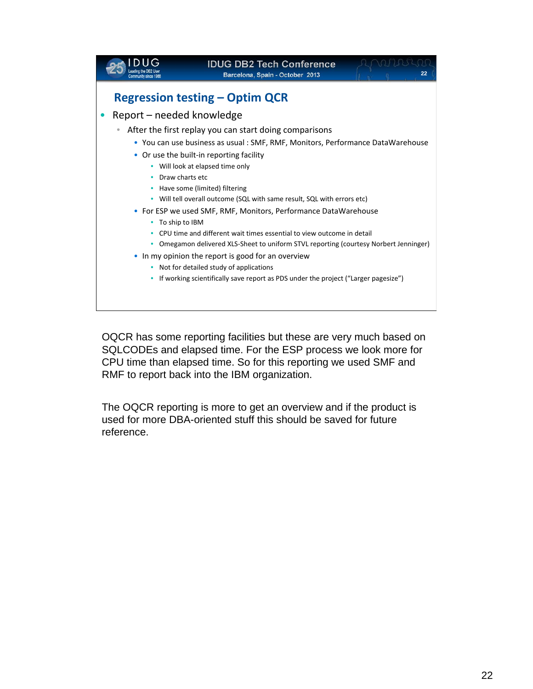



### **Regression testing – Optim QCR**

- Report needed knowledge
	- After the first replay you can start doing comparisons
		- You can use business as usual : SMF, RMF, Monitors, Performance DataWarehouse
		- Or use the built-in reporting facility
			- Will look at elapsed time only
			- Draw charts etc
			- Have some (limited) filtering
			- Will tell overall outcome (SQL with same result, SQL with errors etc)
		- For ESP we used SMF, RMF, Monitors, Performance DataWarehouse
			- To ship to IBM
			- CPU time and different wait times essential to view outcome in detail
			- Omegamon delivered XLS-Sheet to uniform STVL reporting (courtesy Norbert Jenninger)
		- In my opinion the report is good for an overview
			- Not for detailed study of applications
			- If working scientifically save report as PDS under the project ("Larger pagesize")

OQCR has some reporting facilities but these are very much based on SQLCODEs and elapsed time. For the ESP process we look more for CPU time than elapsed time. So for this reporting we used SMF and RMF to report back into the IBM organization.

The OQCR reporting is more to get an overview and if the product is used for more DBA-oriented stuff this should be saved for future reference.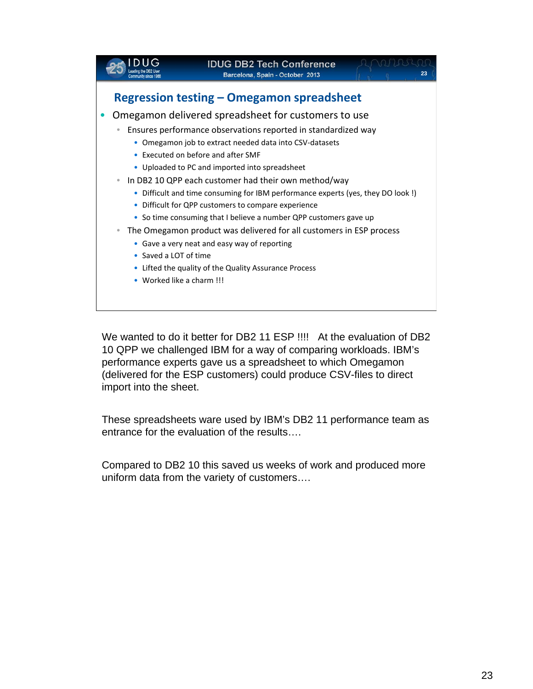

### **Regression testing – Omegamon spreadsheet**

- Omegamon delivered spreadsheet for customers to use
	- Ensures performance observations reported in standardized way
		- Omegamon job to extract needed data into CSV-datasets
		- Executed on before and after SMF
		- Uploaded to PC and imported into spreadsheet
	- In DB2 10 QPP each customer had their own method/way
		- Difficult and time consuming for IBM performance experts (yes, they DO look !)
		- Difficult for QPP customers to compare experience
		- So time consuming that I believe a number QPP customers gave up
	- The Omegamon product was delivered for all customers in ESP process
		- Gave a very neat and easy way of reporting
		- Saved a LOT of time

IDUG

- Lifted the quality of the Quality Assurance Process
- Worked like a charm !!!

We wanted to do it better for DB2 11 ESP !!!! At the evaluation of DB2 10 QPP we challenged IBM for a way of comparing workloads. IBM's performance experts gave us a spreadsheet to which Omegamon (delivered for the ESP customers) could produce CSV-files to direct import into the sheet.

These spreadsheets ware used by IBM's DB2 11 performance team as entrance for the evaluation of the results….

Compared to DB2 10 this saved us weeks of work and produced more uniform data from the variety of customers….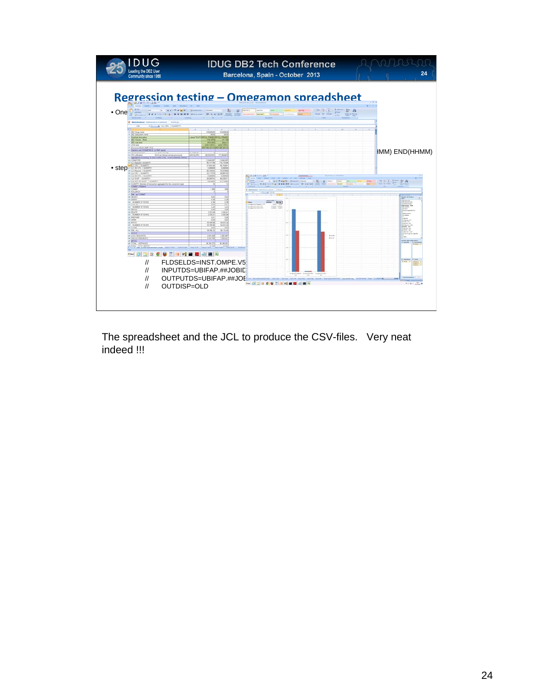

The spreadsheet and the JCL to produce the CSV-files. Very neat indeed !!!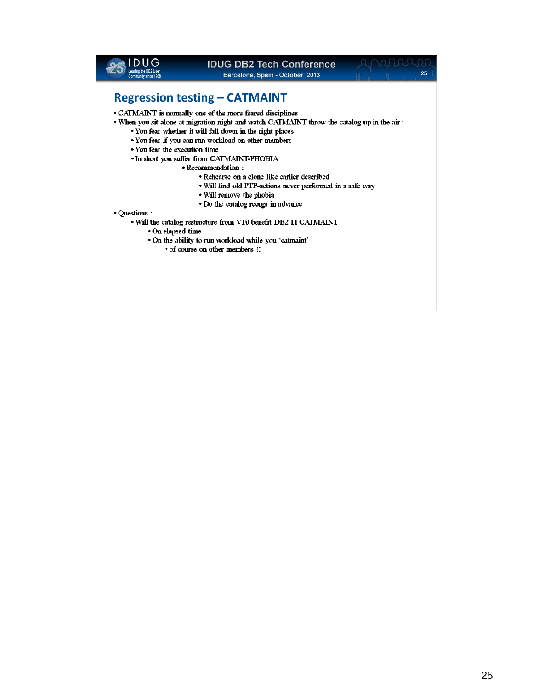



### **Regression testing – CATMAINT**

- CATMAINT is normally one of the more feared disciplines
- . When you sit alone at migration night and watch CATMAINT throw the catalog up in the air :
	- You fear whether it will fall down in the right places
	- You fear if you can run workload on other members
	- You fear the execution time
	- \* In short you suffer from CATMAINT-PHOBIA
		- Recommendation:
			- · Rehearse on a clone like earlier described
			- · Will find old PTF-actions never performed in a safe way
			- · Will remove the phobia
			- Do the catalog reorgs in advance
- Questions:
	- Will the catalog restructure from V10 benefit DB2 11 CATMAINT
		- · On elapsed time
		- . On the ability to run workload while you 'catmaint'
			- · of course on other members !!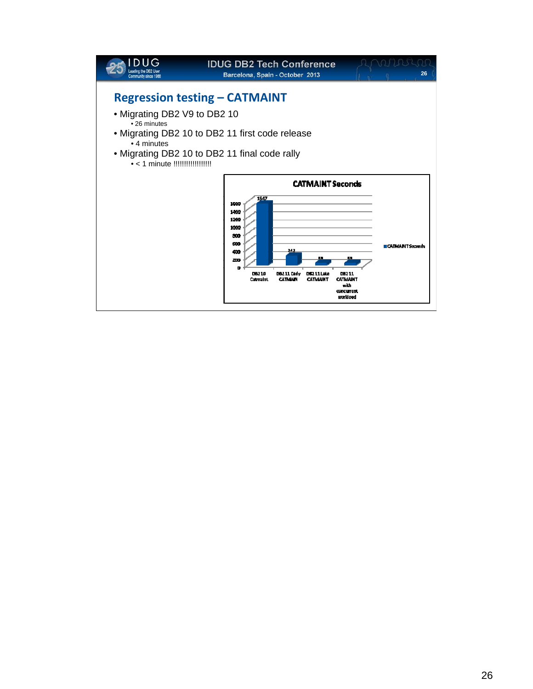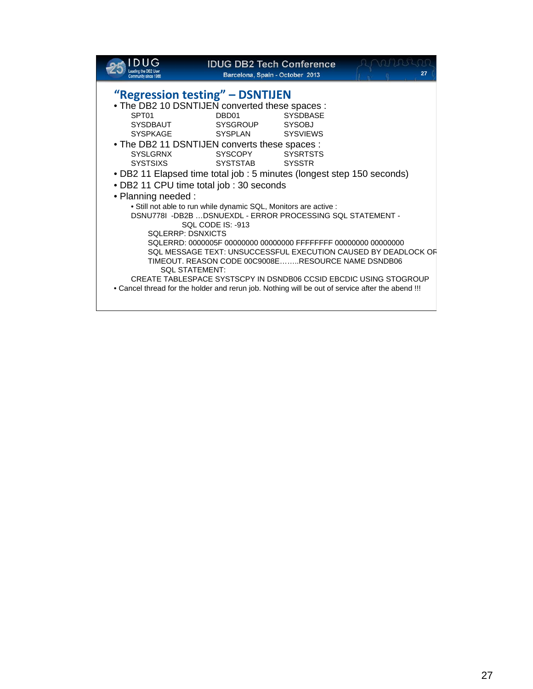| Community since                                                                                                                                                                                                                                                                                                                                    |                                                                                                                                                                                                                                                                                                                                                                                                                                                                                                  | <b>IDUG DB2 Tech Conference</b><br>Barcelona, Spain - October 2013 | 27 |  |  |  |
|----------------------------------------------------------------------------------------------------------------------------------------------------------------------------------------------------------------------------------------------------------------------------------------------------------------------------------------------------|--------------------------------------------------------------------------------------------------------------------------------------------------------------------------------------------------------------------------------------------------------------------------------------------------------------------------------------------------------------------------------------------------------------------------------------------------------------------------------------------------|--------------------------------------------------------------------|----|--|--|--|
| SPT <sub>01</sub><br>SYSDBAUT<br>SYSPKAGE<br>SYSLGRNX<br>SYSTSIXS<br>• Planning needed:                                                                                                                                                                                                                                                            | "Regression testing" – DSNTIJEN<br>• The DB2 10 DSNTIJEN converted these spaces :<br>DBD01<br>SYSGROUP SYSOBJ<br>SYSPLAN SYSVIEWS<br>. The DB2 11 DSNTIJEN converts these spaces:<br>SYSCOPY SYSRTSTS<br>SYSTSTAB SYSSTR<br>• DB2 11 Elapsed time total job : 5 minutes (longest step 150 seconds)<br>• DB2 11 CPU time total job: 30 seconds<br>• Still not able to run while dynamic SQL, Monitors are active :<br>DSNU778L-DB2B DSNUEXDL-ERROR PROCESSING SOL STATEMENT-<br>SQL CODE IS: -913 | <b>SYSDBASE</b>                                                    |    |  |  |  |
| <b>SQLERRP: DSNXICTS</b><br>SQL MESSAGE TEXT: UNSUCCESSFUL EXECUTION CAUSED BY DEADLOCK OR<br>TIMEOUT. REASON CODE 00C9008ERESOURCE NAME DSNDB06<br><b>SOL STATEMENT:</b><br>CREATE TABLESPACE SYSTSCPY IN DSNDB06 CCSID EBCDIC USING STOGROUP<br>• Cancel thread for the holder and rerun job. Nothing will be out of service after the abend !!! |                                                                                                                                                                                                                                                                                                                                                                                                                                                                                                  |                                                                    |    |  |  |  |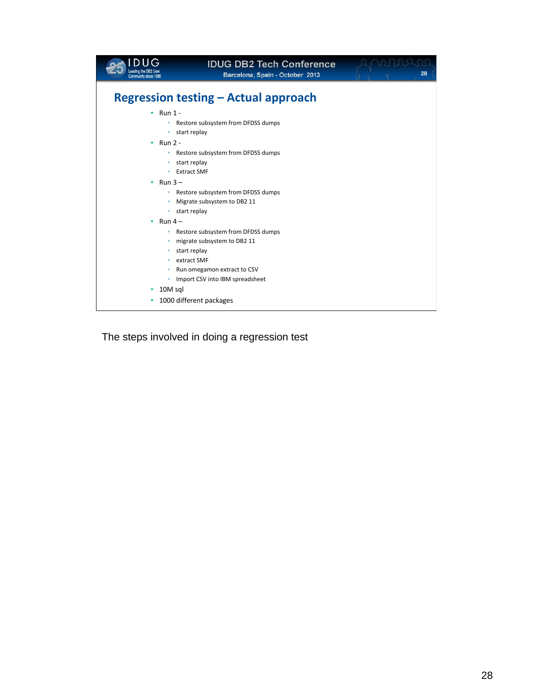|                                             | <b>IDUG DB2 Tech Conference</b><br>28<br>Barcelona, Spain - October 2013 |  |  |  |  |  |  |  |  |  |
|---------------------------------------------|--------------------------------------------------------------------------|--|--|--|--|--|--|--|--|--|
| <b>Regression testing - Actual approach</b> |                                                                          |  |  |  |  |  |  |  |  |  |
| <b>Run 1 -</b><br>۰                         |                                                                          |  |  |  |  |  |  |  |  |  |
| ۰                                           | Restore subsystem from DFDSS dumps                                       |  |  |  |  |  |  |  |  |  |
| ۰                                           | start replay                                                             |  |  |  |  |  |  |  |  |  |
| $Run 2 -$<br>٠                              |                                                                          |  |  |  |  |  |  |  |  |  |
| ۰                                           | Restore subsystem from DFDSS dumps                                       |  |  |  |  |  |  |  |  |  |
| ۰                                           | start replay                                                             |  |  |  |  |  |  |  |  |  |
| ٠                                           | <b>Extract SMF</b>                                                       |  |  |  |  |  |  |  |  |  |
| $Run 3 -$<br>۰                              |                                                                          |  |  |  |  |  |  |  |  |  |
| ۰                                           | Restore subsystem from DFDSS dumps                                       |  |  |  |  |  |  |  |  |  |
| ۰                                           | Migrate subsystem to DB2 11                                              |  |  |  |  |  |  |  |  |  |
| ۰                                           | start replay                                                             |  |  |  |  |  |  |  |  |  |
| $Run 4 -$<br>$\bullet$                      |                                                                          |  |  |  |  |  |  |  |  |  |
| ۰                                           | Restore subsystem from DFDSS dumps                                       |  |  |  |  |  |  |  |  |  |
| ۰                                           | migrate subsystem to DB2 11                                              |  |  |  |  |  |  |  |  |  |
| ۰                                           | start replay                                                             |  |  |  |  |  |  |  |  |  |
| ۰                                           | extract SMF                                                              |  |  |  |  |  |  |  |  |  |
| ۰                                           | Run omegamon extract to CSV                                              |  |  |  |  |  |  |  |  |  |
| ٠                                           | Import CSV into IBM spreadsheet                                          |  |  |  |  |  |  |  |  |  |
| 10M sql                                     |                                                                          |  |  |  |  |  |  |  |  |  |
|                                             | 1000 different packages                                                  |  |  |  |  |  |  |  |  |  |

The steps involved in doing a regression test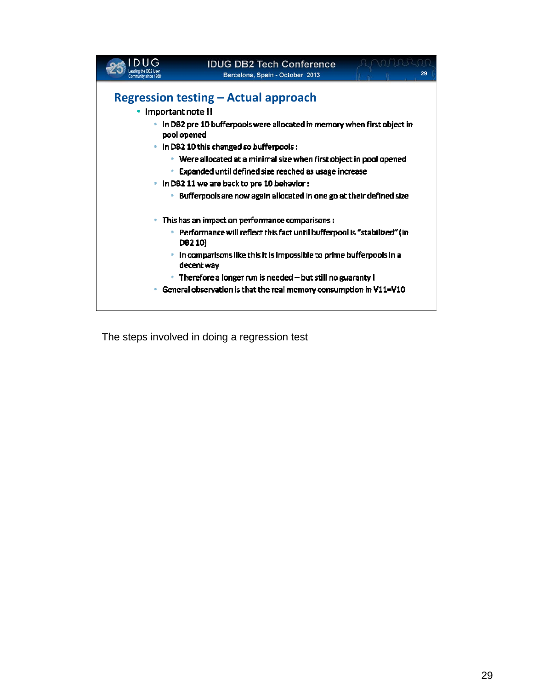

• General observation is that the real memory consumption in V11=V10

The steps involved in doing a regression test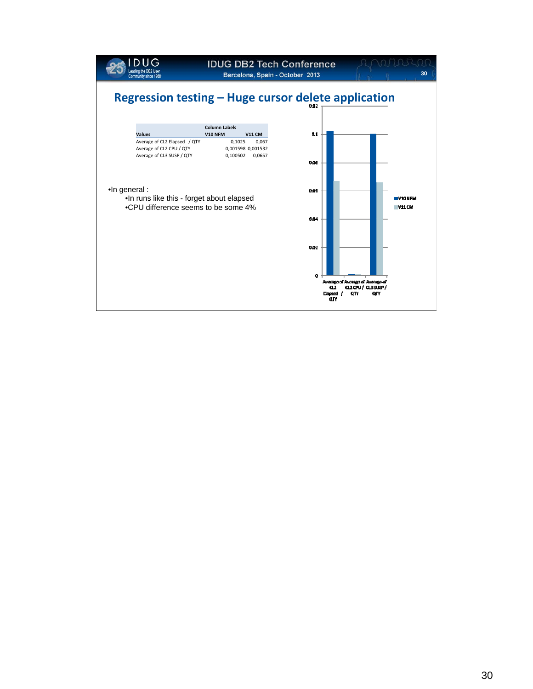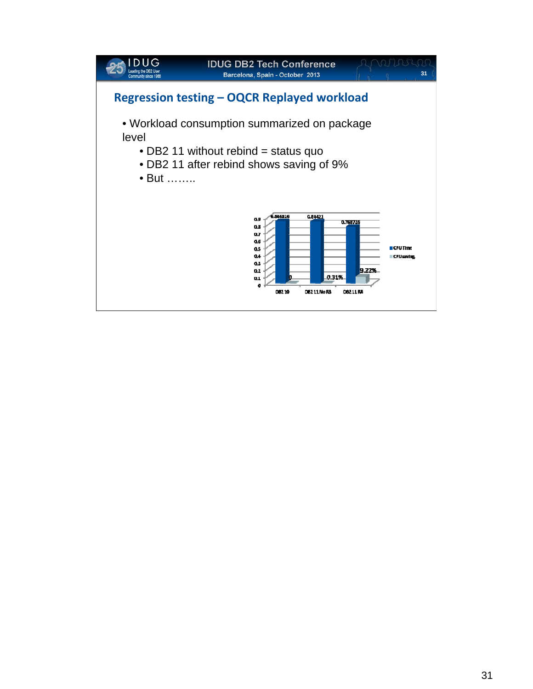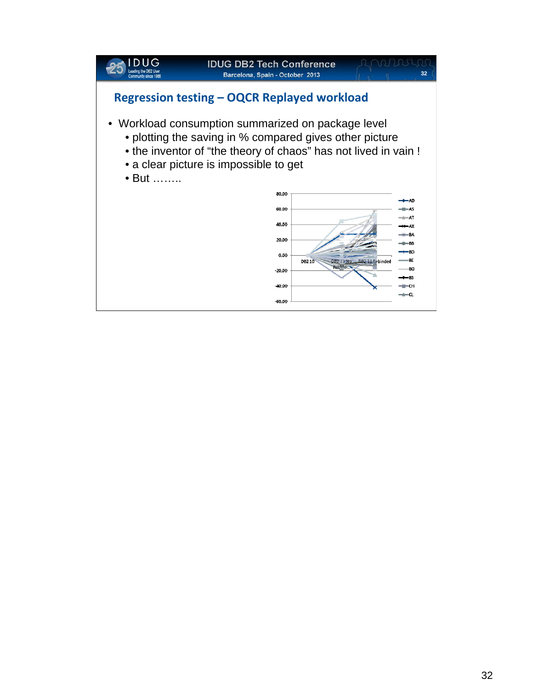

### **Regression testing – OQCR Replayed workload**

- Workload consumption summarized on package level
	- plotting the saving in % compared gives other picture
	- the inventor of "the theory of chaos" has not lived in vain !
	- a clear picture is impossible to get
	- But ……..

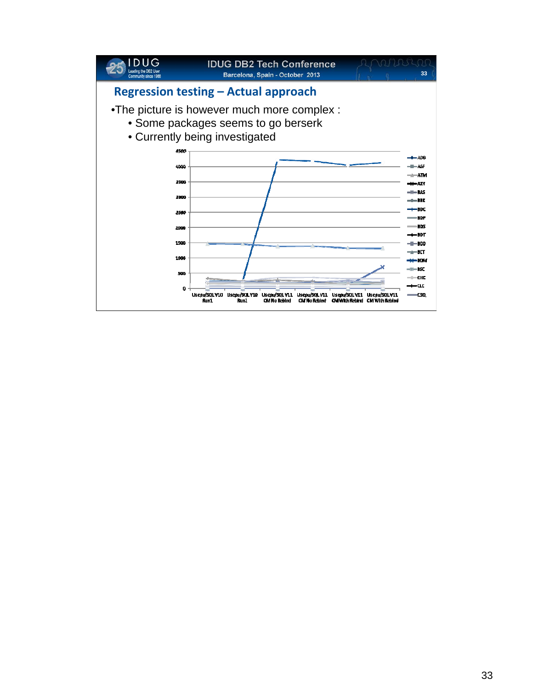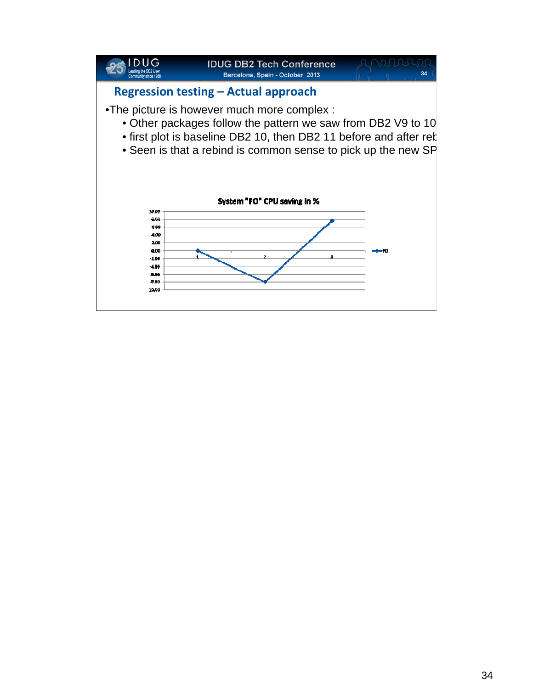| 25 IDUG              | <b>IDUG DB2 Tech Conference</b> | NY KUSUK |    |  |
|----------------------|---------------------------------|----------|----|--|
| Community since 1988 | Barcelona, Spain - October 2013 |          | 34 |  |

### **Regression testing – Actual approach**

•The picture is however much more complex :

- Other packages follow the pattern we saw from DB2 V9 to 10
- first plot is baseline DB2 10, then DB2 11 before and after ret
- Seen is that a rebind is common sense to pick up the new SP

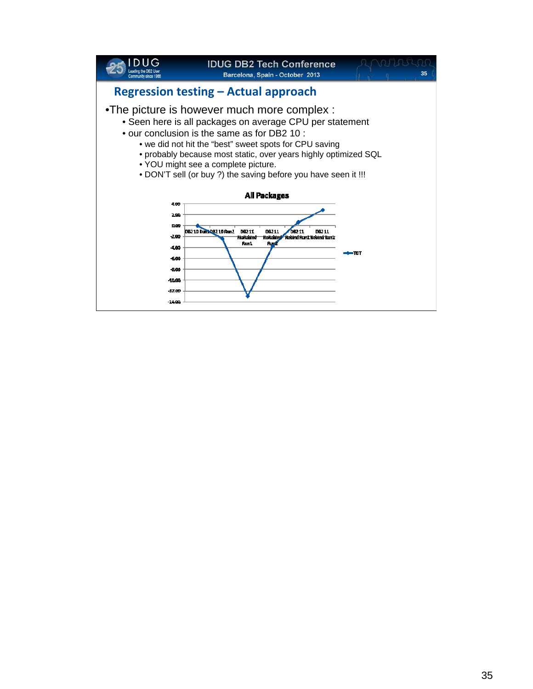

**35**

WARRING

### **Regression testing – Actual approach**

•The picture is however much more complex :

- Seen here is all packages on average CPU per statement
- our conclusion is the same as for DB2 10 :
	- we did not hit the "best" sweet spots for CPU saving
	- probably because most static, over years highly optimized SQL
	- YOU might see a complete picture.
	- DON'T sell (or buy ?) the saving before you have seen it !!!

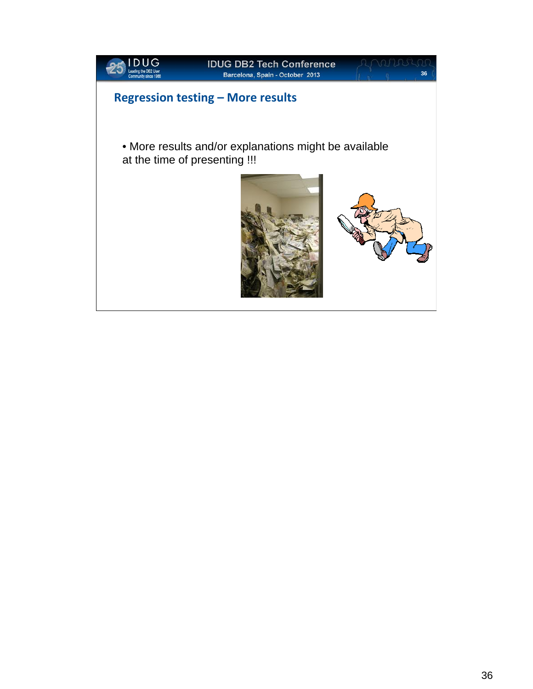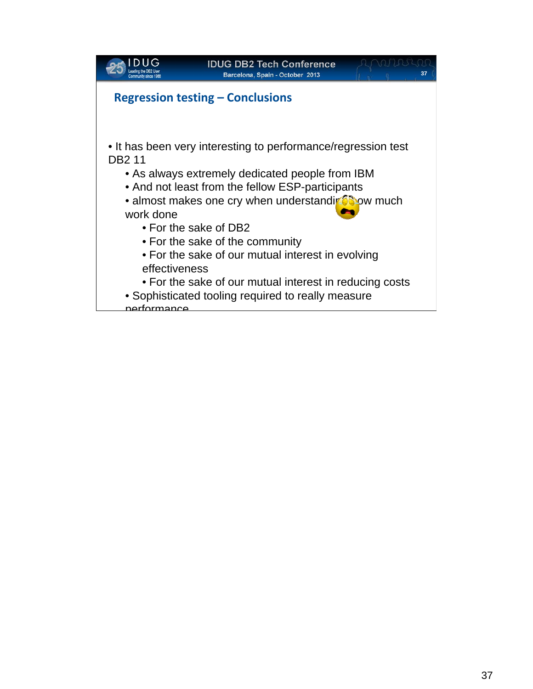

### **Regression testing – Conclusions**

• It has been very interesting to performance/regression test DB2 11

- As always extremely dedicated people from IBM
- And not least from the fellow ESP-participants

• almost makes one cry when understandi $f^{\circ}$  ow much work done

- For the sake of DB2
- For the sake of the community
- For the sake of our mutual interest in evolving effectiveness
- For the sake of our mutual interest in reducing costs
- Sophisticated tooling required to really measure

performance